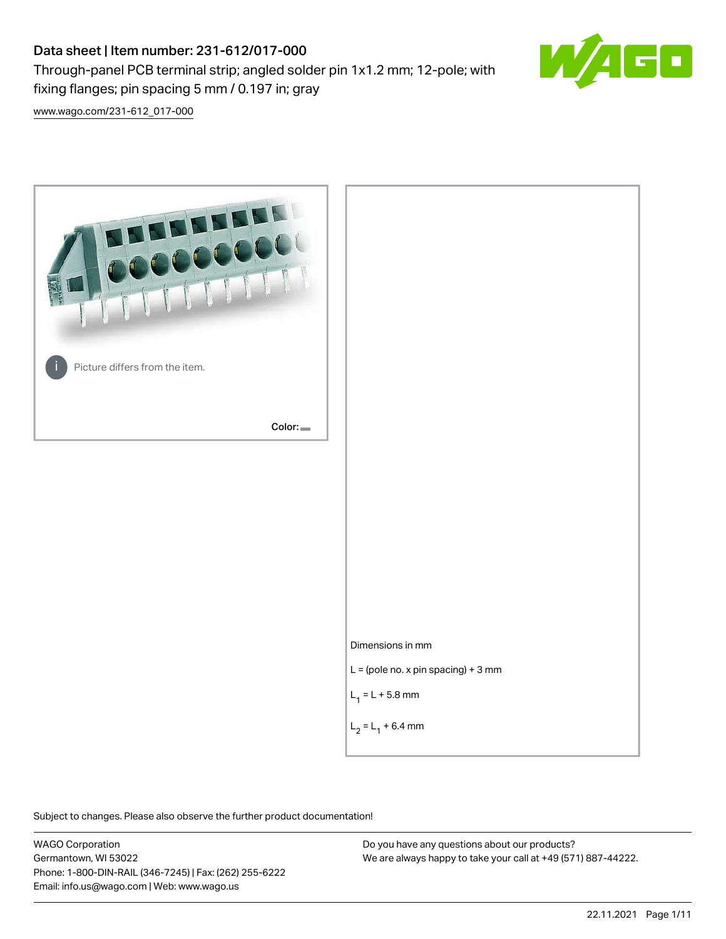# Data sheet | Item number: 231-612/017-000

fixing flanges; pin spacing 5 mm / 0.197 in; gray

Through-panel PCB terminal strip; angled solder pin 1x1.2 mm; 12-pole; with



[www.wago.com/231-612\\_017-000](http://www.wago.com/231-612_017-000)



Subject to changes. Please also observe the further product documentation!

WAGO Corporation Germantown, WI 53022 Phone: 1-800-DIN-RAIL (346-7245) | Fax: (262) 255-6222 Email: info.us@wago.com | Web: www.wago.us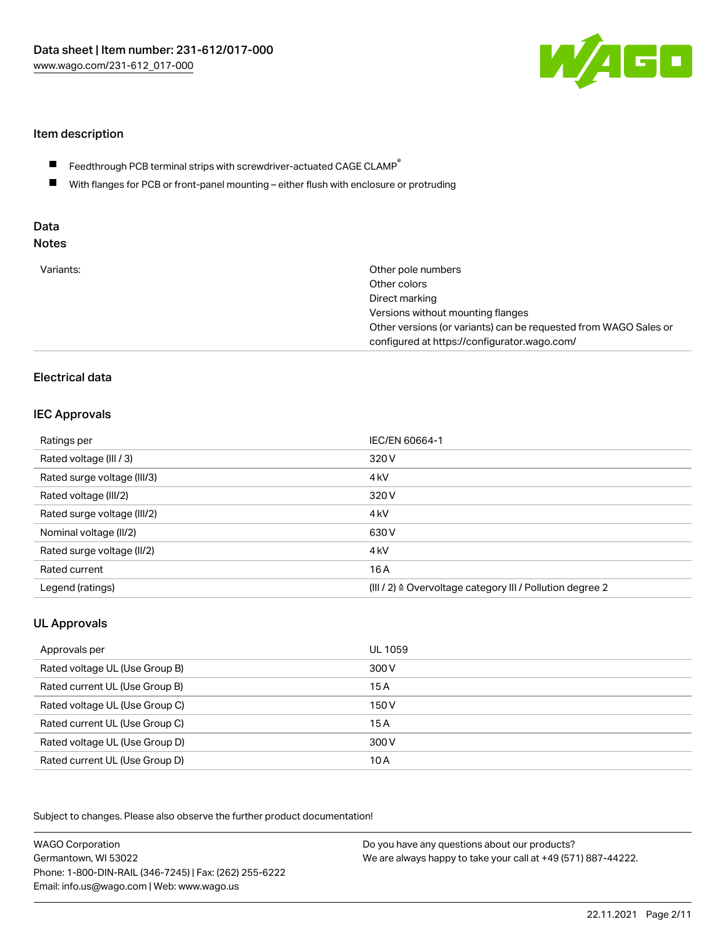

### Item description

- Feedthrough PCB terminal strips with screwdriver-actuated CAGE CLAMP $^\circ$  $\blacksquare$
- $\blacksquare$ With flanges for PCB or front-panel mounting – either flush with enclosure or protruding

# Data

| Variants:<br>Other pole numbers<br>Other colors                  |
|------------------------------------------------------------------|
|                                                                  |
|                                                                  |
| Direct marking                                                   |
| Versions without mounting flanges                                |
| Other versions (or variants) can be requested from WAGO Sales or |
| configured at https://configurator.wago.com/                     |

## Electrical data

#### IEC Approvals

| Ratings per                 | IEC/EN 60664-1                                                        |
|-----------------------------|-----------------------------------------------------------------------|
| Rated voltage (III / 3)     | 320 V                                                                 |
| Rated surge voltage (III/3) | 4 <sub>kV</sub>                                                       |
| Rated voltage (III/2)       | 320 V                                                                 |
| Rated surge voltage (III/2) | 4 <sub>kV</sub>                                                       |
| Nominal voltage (II/2)      | 630 V                                                                 |
| Rated surge voltage (II/2)  | 4 <sub>k</sub> V                                                      |
| Rated current               | 16A                                                                   |
| Legend (ratings)            | $(III / 2)$ $\triangle$ Overvoltage category III / Pollution degree 2 |

# UL Approvals

| Approvals per                  | UL 1059 |
|--------------------------------|---------|
| Rated voltage UL (Use Group B) | 300 V   |
| Rated current UL (Use Group B) | 15 A    |
| Rated voltage UL (Use Group C) | 150 V   |
| Rated current UL (Use Group C) | 15A     |
| Rated voltage UL (Use Group D) | 300 V   |
| Rated current UL (Use Group D) | 10 A    |

Subject to changes. Please also observe the further product documentation!

| <b>WAGO Corporation</b>                                | Do you have any questions about our products?                 |
|--------------------------------------------------------|---------------------------------------------------------------|
| Germantown, WI 53022                                   | We are always happy to take your call at +49 (571) 887-44222. |
| Phone: 1-800-DIN-RAIL (346-7245)   Fax: (262) 255-6222 |                                                               |
| Email: info.us@wago.com   Web: www.wago.us             |                                                               |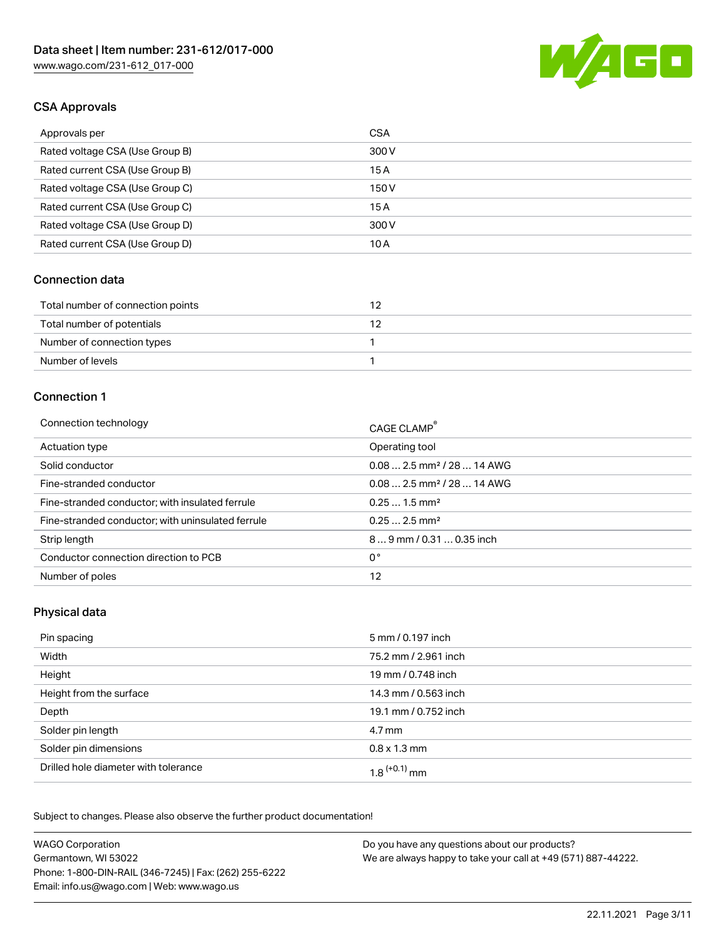

# CSA Approvals

| Approvals per                   | <b>CSA</b> |
|---------------------------------|------------|
| Rated voltage CSA (Use Group B) | 300 V      |
| Rated current CSA (Use Group B) | 15A        |
| Rated voltage CSA (Use Group C) | 150 V      |
| Rated current CSA (Use Group C) | 15A        |
| Rated voltage CSA (Use Group D) | 300 V      |
| Rated current CSA (Use Group D) | 10 A       |

#### Connection data

| Total number of connection points |  |
|-----------------------------------|--|
| Total number of potentials        |  |
| Number of connection types        |  |
| Number of levels                  |  |

#### Connection 1

| Connection technology                             | CAGE CLAMP <sup>®</sup>                 |
|---------------------------------------------------|-----------------------------------------|
| Actuation type                                    | Operating tool                          |
| Solid conductor                                   | $0.08$ 2.5 mm <sup>2</sup> / 28  14 AWG |
| Fine-stranded conductor                           | $0.08$ 2.5 mm <sup>2</sup> / 28  14 AWG |
| Fine-stranded conductor; with insulated ferrule   | $0.251.5$ mm <sup>2</sup>               |
| Fine-stranded conductor; with uninsulated ferrule | $0.252.5$ mm <sup>2</sup>               |
| Strip length                                      | $89$ mm $/ 0.310.35$ inch               |
| Conductor connection direction to PCB             | 0°                                      |
| Number of poles                                   | 12                                      |

#### Physical data

| Pin spacing                          | 5 mm / 0.197 inch          |
|--------------------------------------|----------------------------|
| Width                                | 75.2 mm / 2.961 inch       |
| Height                               | 19 mm / 0.748 inch         |
| Height from the surface              | 14.3 mm / 0.563 inch       |
| Depth                                | 19.1 mm / 0.752 inch       |
| Solder pin length                    | 4.7 mm                     |
| Solder pin dimensions                | $0.8 \times 1.3$ mm        |
| Drilled hole diameter with tolerance | $1.8$ <sup>(+0.1)</sup> mm |

Subject to changes. Please also observe the further product documentation! Mechanical data

| <b>WAGO Corporation</b>                                | Do you have any questions about our products?                 |
|--------------------------------------------------------|---------------------------------------------------------------|
| Germantown, WI 53022                                   | We are always happy to take your call at +49 (571) 887-44222. |
| Phone: 1-800-DIN-RAIL (346-7245)   Fax: (262) 255-6222 |                                                               |
| Email: info.us@wago.com   Web: www.wago.us             |                                                               |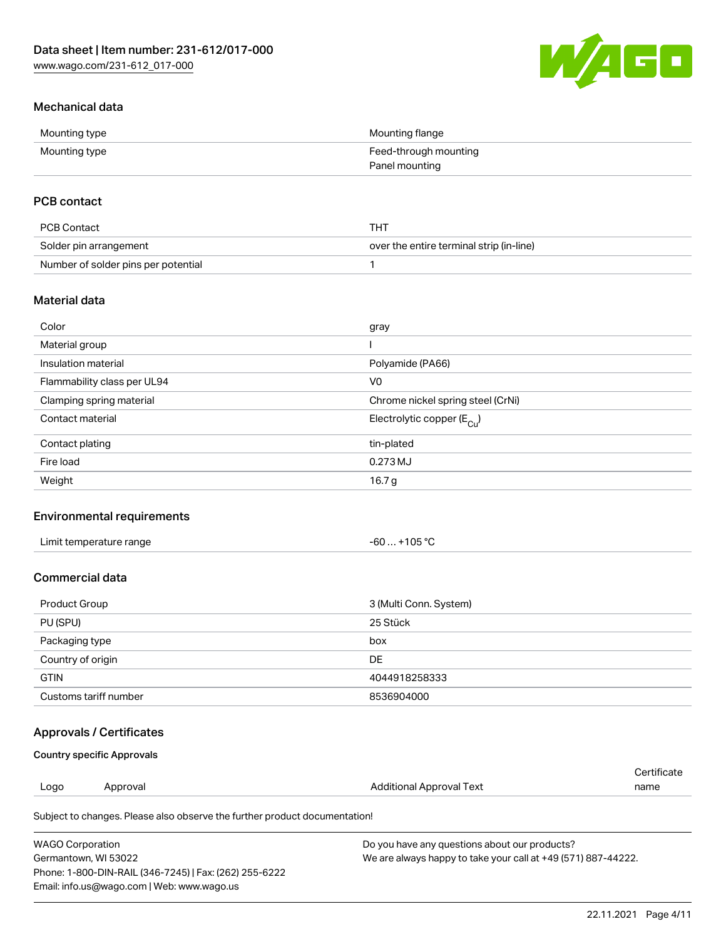

# Mechanical data

| Mounting type | Mounting flange       |
|---------------|-----------------------|
| Mounting type | Feed-through mounting |
|               | Panel mounting        |

## PCB contact

| PCB Contact                         | THT                                      |
|-------------------------------------|------------------------------------------|
| Solder pin arrangement              | over the entire terminal strip (in-line) |
| Number of solder pins per potential |                                          |

#### Material data

| Color                       | gray                                    |
|-----------------------------|-----------------------------------------|
| Material group              |                                         |
| Insulation material         | Polyamide (PA66)                        |
| Flammability class per UL94 | V <sub>0</sub>                          |
| Clamping spring material    | Chrome nickel spring steel (CrNi)       |
| Contact material            | Electrolytic copper ( $E_{\text{Cu}}$ ) |
| Contact plating             | tin-plated                              |
| Fire load                   | 0.273 MJ                                |
| Weight                      | 16.7 <sub>g</sub>                       |

### Environmental requirements

| Limit temperature range<br>. | +105 $^{\circ}$ C<br>-60 |  |
|------------------------------|--------------------------|--|
|------------------------------|--------------------------|--|

## Commercial data

| Product Group         | 3 (Multi Conn. System) |
|-----------------------|------------------------|
| PU (SPU)              | 25 Stück               |
| Packaging type        | box                    |
| Country of origin     | DE                     |
| <b>GTIN</b>           | 4044918258333          |
| Customs tariff number | 8536904000             |

#### Approvals / Certificates

#### Country specific Approvals

| Logo | Approval | Additional Approval Text | name        |
|------|----------|--------------------------|-------------|
|      |          |                          | Certificate |

Subject to changes. Please also observe the further product documentation!

| WAGO Corporation                                       | Do you have any questions about our products?                 |
|--------------------------------------------------------|---------------------------------------------------------------|
| Germantown. WI 53022                                   | We are always happy to take your call at +49 (571) 887-44222. |
| Phone: 1-800-DIN-RAIL (346-7245)   Fax: (262) 255-6222 |                                                               |
| Email: info.us@wago.com   Web: www.wago.us             |                                                               |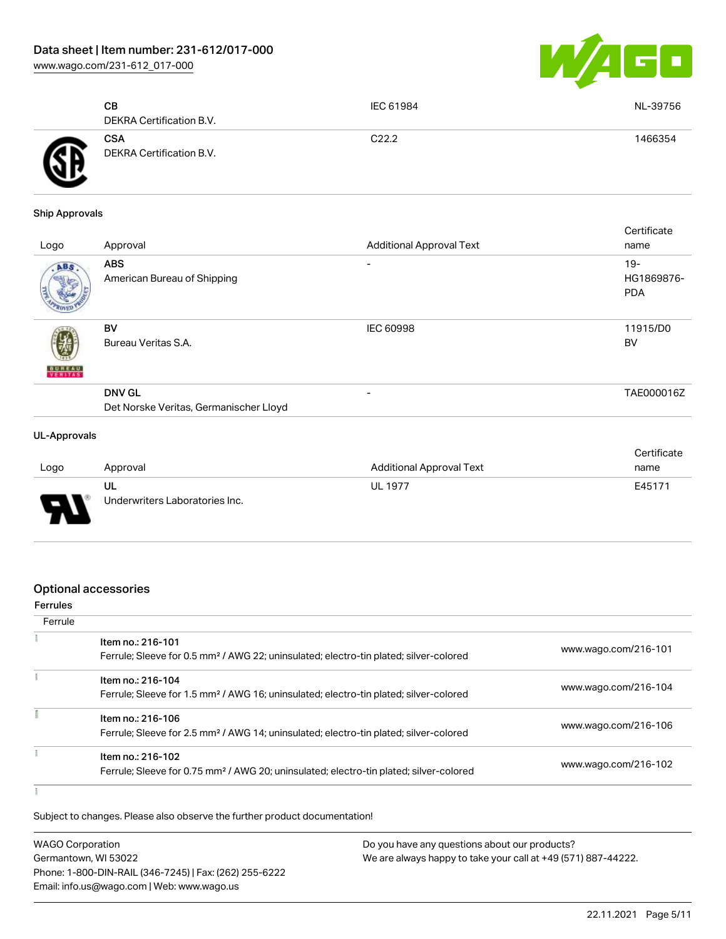[www.wago.com/231-612\\_017-000](http://www.wago.com/231-612_017-000)



|       | CВ<br>DEKRA Certification B.V.         | IEC 61984         | NL-39756 |
|-------|----------------------------------------|-------------------|----------|
| 介<br> | <b>CSA</b><br>DEKRA Certification B.V. | C <sub>22.2</sub> | 1466354  |

#### Ship Approvals

| Logo          | Approval                                                | <b>Additional Approval Text</b> | Certificate<br>name             |
|---------------|---------------------------------------------------------|---------------------------------|---------------------------------|
| ABS           | <b>ABS</b><br>American Bureau of Shipping               | ۰                               | 19-<br>HG1869876-<br><b>PDA</b> |
| <b>BUREAU</b> | BV<br>Bureau Veritas S.A.                               | <b>IEC 60998</b>                | 11915/D0<br>BV                  |
|               | <b>DNV GL</b><br>Det Norske Veritas, Germanischer Lloyd | -                               | TAE000016Z                      |
|               |                                                         |                                 |                                 |

#### UL-Approvals

| Logo                          | Approval                             | <b>Additional Approval Text</b> | Certificate<br>name |
|-------------------------------|--------------------------------------|---------------------------------|---------------------|
| J<br>$\overline{\phantom{a}}$ | UL<br>Underwriters Laboratories Inc. | <b>UL 1977</b>                  | E45171              |

#### Optional accessories

| <b>Ferrules</b> |                                                                                                                         |                      |
|-----------------|-------------------------------------------------------------------------------------------------------------------------|----------------------|
| Ferrule         |                                                                                                                         |                      |
|                 | Item no.: 216-101<br>Ferrule; Sleeve for 0.5 mm <sup>2</sup> / AWG 22; uninsulated; electro-tin plated; silver-colored  | www.wago.com/216-101 |
|                 | Item no.: 216-104                                                                                                       |                      |
|                 | Ferrule; Sleeve for 1.5 mm <sup>2</sup> / AWG 16; uninsulated; electro-tin plated; silver-colored                       | www.wago.com/216-104 |
|                 | Item no.: 216-106<br>Ferrule; Sleeve for 2.5 mm <sup>2</sup> / AWG 14; uninsulated; electro-tin plated; silver-colored  | www.wago.com/216-106 |
|                 | Item no.: 216-102<br>Ferrule; Sleeve for 0.75 mm <sup>2</sup> / AWG 20; uninsulated; electro-tin plated; silver-colored | www.wago.com/216-102 |
|                 |                                                                                                                         |                      |

Subject to changes. Please also observe the further product documentation!

| <b>WAGO Corporation</b>                                | Do you have any questions about our products?                 |
|--------------------------------------------------------|---------------------------------------------------------------|
| Germantown, WI 53022                                   | We are always happy to take your call at +49 (571) 887-44222. |
| Phone: 1-800-DIN-RAIL (346-7245)   Fax: (262) 255-6222 |                                                               |
| Email: info.us@wago.com   Web: www.wago.us             |                                                               |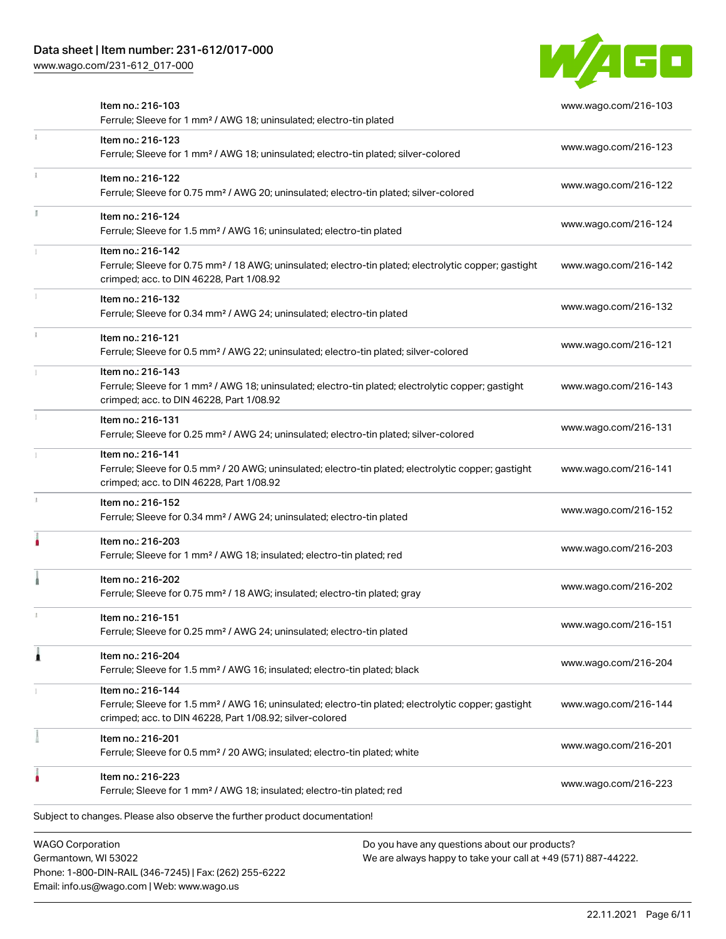# Data sheet | Item number: 231-612/017-000

Phone: 1-800-DIN-RAIL (346-7245) | Fax: (262) 255-6222

Email: info.us@wago.com | Web: www.wago.us

[www.wago.com/231-612\\_017-000](http://www.wago.com/231-612_017-000)



|                         | Item no.: 216-103<br>Ferrule; Sleeve for 1 mm <sup>2</sup> / AWG 18; uninsulated; electro-tin plated                                                                                              |                                                                                                                | www.wago.com/216-103 |
|-------------------------|---------------------------------------------------------------------------------------------------------------------------------------------------------------------------------------------------|----------------------------------------------------------------------------------------------------------------|----------------------|
|                         | Item no.: 216-123<br>Ferrule; Sleeve for 1 mm <sup>2</sup> / AWG 18; uninsulated; electro-tin plated; silver-colored                                                                              |                                                                                                                | www.wago.com/216-123 |
|                         | Item no.: 216-122<br>Ferrule; Sleeve for 0.75 mm <sup>2</sup> / AWG 20; uninsulated; electro-tin plated; silver-colored                                                                           |                                                                                                                | www.wago.com/216-122 |
| J.                      | Item no.: 216-124<br>Ferrule; Sleeve for 1.5 mm <sup>2</sup> / AWG 16; uninsulated; electro-tin plated                                                                                            |                                                                                                                | www.wago.com/216-124 |
|                         | Item no.: 216-142<br>Ferrule; Sleeve for 0.75 mm <sup>2</sup> / 18 AWG; uninsulated; electro-tin plated; electrolytic copper; gastight<br>crimped; acc. to DIN 46228, Part 1/08.92                |                                                                                                                | www.wago.com/216-142 |
|                         | Item no.: 216-132<br>Ferrule; Sleeve for 0.34 mm <sup>2</sup> / AWG 24; uninsulated; electro-tin plated                                                                                           |                                                                                                                | www.wago.com/216-132 |
|                         | Item no.: 216-121<br>Ferrule; Sleeve for 0.5 mm <sup>2</sup> / AWG 22; uninsulated; electro-tin plated; silver-colored                                                                            |                                                                                                                | www.wago.com/216-121 |
|                         | Item no.: 216-143<br>Ferrule; Sleeve for 1 mm <sup>2</sup> / AWG 18; uninsulated; electro-tin plated; electrolytic copper; gastight<br>crimped; acc. to DIN 46228, Part 1/08.92                   |                                                                                                                | www.wago.com/216-143 |
|                         | Item no.: 216-131<br>Ferrule; Sleeve for 0.25 mm <sup>2</sup> / AWG 24; uninsulated; electro-tin plated; silver-colored                                                                           |                                                                                                                | www.wago.com/216-131 |
|                         | Item no.: 216-141<br>Ferrule; Sleeve for 0.5 mm <sup>2</sup> / 20 AWG; uninsulated; electro-tin plated; electrolytic copper; gastight<br>crimped; acc. to DIN 46228, Part 1/08.92                 |                                                                                                                | www.wago.com/216-141 |
|                         | Item no.: 216-152<br>Ferrule; Sleeve for 0.34 mm <sup>2</sup> / AWG 24; uninsulated; electro-tin plated                                                                                           |                                                                                                                | www.wago.com/216-152 |
|                         | Item no.: 216-203<br>Ferrule; Sleeve for 1 mm <sup>2</sup> / AWG 18; insulated; electro-tin plated; red                                                                                           |                                                                                                                | www.wago.com/216-203 |
|                         | Item no.: 216-202<br>Ferrule; Sleeve for 0.75 mm <sup>2</sup> / 18 AWG; insulated; electro-tin plated; gray                                                                                       |                                                                                                                | www.wago.com/216-202 |
|                         | Item no.: 216-151<br>Ferrule; Sleeve for 0.25 mm <sup>2</sup> / AWG 24; uninsulated; electro-tin plated                                                                                           |                                                                                                                | www.wago.com/216-151 |
|                         | Item no.: 216-204<br>Ferrule; Sleeve for 1.5 mm <sup>2</sup> / AWG 16; insulated; electro-tin plated; black                                                                                       |                                                                                                                | www.wago.com/216-204 |
|                         | Item no.: 216-144<br>Ferrule; Sleeve for 1.5 mm <sup>2</sup> / AWG 16; uninsulated; electro-tin plated; electrolytic copper; gastight<br>crimped; acc. to DIN 46228, Part 1/08.92; silver-colored |                                                                                                                | www.wago.com/216-144 |
|                         | Item no.: 216-201<br>Ferrule; Sleeve for 0.5 mm <sup>2</sup> / 20 AWG; insulated; electro-tin plated; white                                                                                       |                                                                                                                | www.wago.com/216-201 |
|                         | Item no.: 216-223<br>Ferrule; Sleeve for 1 mm <sup>2</sup> / AWG 18; insulated; electro-tin plated; red                                                                                           |                                                                                                                | www.wago.com/216-223 |
|                         | Subject to changes. Please also observe the further product documentation!                                                                                                                        |                                                                                                                |                      |
| <b>WAGO Corporation</b> | Germantown, WI 53022                                                                                                                                                                              | Do you have any questions about our products?<br>We are always happy to take your call at +49 (571) 887-44222. |                      |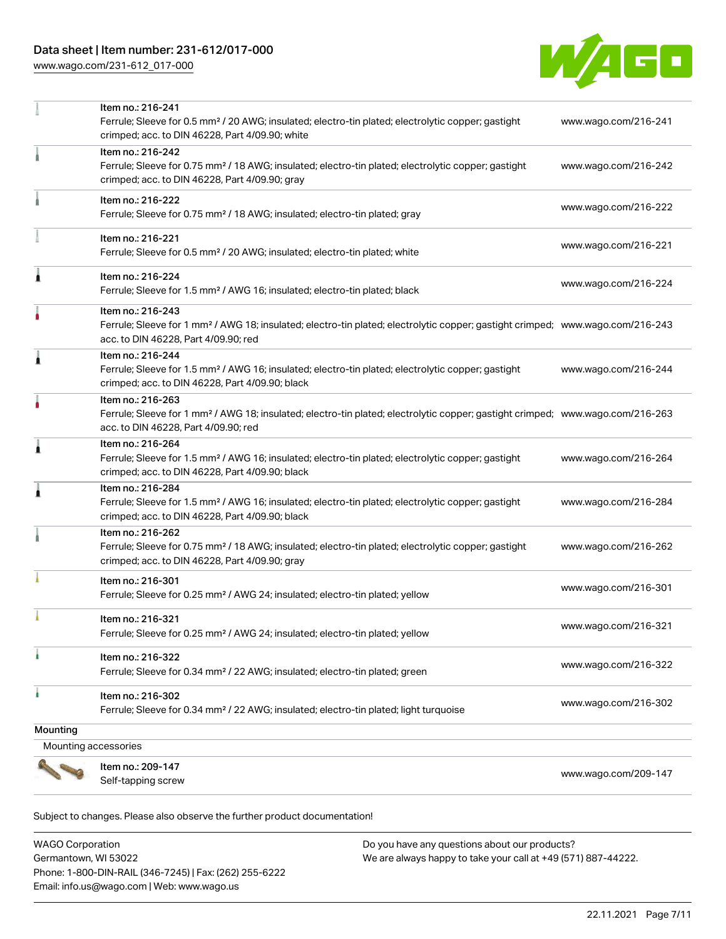# Data sheet | Item number: 231-612/017-000

[www.wago.com/231-612\\_017-000](http://www.wago.com/231-612_017-000)



|                      | Item no.: 216-241                                                                                                                                                                  |                      |
|----------------------|------------------------------------------------------------------------------------------------------------------------------------------------------------------------------------|----------------------|
|                      | Ferrule; Sleeve for 0.5 mm <sup>2</sup> / 20 AWG; insulated; electro-tin plated; electrolytic copper; gastight                                                                     | www.wago.com/216-241 |
|                      | crimped; acc. to DIN 46228, Part 4/09.90; white                                                                                                                                    |                      |
|                      | Item no.: 216-242                                                                                                                                                                  |                      |
|                      | Ferrule; Sleeve for 0.75 mm <sup>2</sup> / 18 AWG; insulated; electro-tin plated; electrolytic copper; gastight                                                                    | www.wago.com/216-242 |
|                      | crimped; acc. to DIN 46228, Part 4/09.90; gray                                                                                                                                     |                      |
|                      | Item no.: 216-222                                                                                                                                                                  |                      |
|                      | Ferrule; Sleeve for 0.75 mm <sup>2</sup> / 18 AWG; insulated; electro-tin plated; gray                                                                                             | www.wago.com/216-222 |
|                      | Item no.: 216-221                                                                                                                                                                  | www.wago.com/216-221 |
|                      | Ferrule; Sleeve for 0.5 mm <sup>2</sup> / 20 AWG; insulated; electro-tin plated; white                                                                                             |                      |
| Ă                    | Item no.: 216-224                                                                                                                                                                  | www.wago.com/216-224 |
|                      | Ferrule; Sleeve for 1.5 mm <sup>2</sup> / AWG 16; insulated; electro-tin plated; black                                                                                             |                      |
|                      | Item no.: 216-243                                                                                                                                                                  |                      |
|                      | Ferrule; Sleeve for 1 mm <sup>2</sup> / AWG 18; insulated; electro-tin plated; electrolytic copper; gastight crimped; www.wago.com/216-243<br>acc. to DIN 46228, Part 4/09.90; red |                      |
| 1                    | Item no.: 216-244                                                                                                                                                                  |                      |
|                      | Ferrule; Sleeve for 1.5 mm <sup>2</sup> / AWG 16; insulated; electro-tin plated; electrolytic copper; gastight                                                                     | www.wago.com/216-244 |
|                      | crimped; acc. to DIN 46228, Part 4/09.90; black                                                                                                                                    |                      |
|                      | Item no.: 216-263                                                                                                                                                                  |                      |
|                      | Ferrule; Sleeve for 1 mm <sup>2</sup> / AWG 18; insulated; electro-tin plated; electrolytic copper; gastight crimped; www.wago.com/216-263                                         |                      |
|                      | acc. to DIN 46228, Part 4/09.90; red                                                                                                                                               |                      |
| Ă                    | Item no.: 216-264                                                                                                                                                                  |                      |
|                      | Ferrule; Sleeve for 1.5 mm <sup>2</sup> / AWG 16; insulated; electro-tin plated; electrolytic copper; gastight                                                                     | www.wago.com/216-264 |
|                      | crimped; acc. to DIN 46228, Part 4/09.90; black                                                                                                                                    |                      |
| 1                    | Item no.: 216-284                                                                                                                                                                  |                      |
|                      | Ferrule; Sleeve for 1.5 mm <sup>2</sup> / AWG 16; insulated; electro-tin plated; electrolytic copper; gastight                                                                     | www.wago.com/216-284 |
|                      | crimped; acc. to DIN 46228, Part 4/09.90; black                                                                                                                                    |                      |
|                      | Item no.: 216-262                                                                                                                                                                  |                      |
|                      | Ferrule; Sleeve for 0.75 mm <sup>2</sup> / 18 AWG; insulated; electro-tin plated; electrolytic copper; gastight<br>crimped; acc. to DIN 46228, Part 4/09.90; gray                  | www.wago.com/216-262 |
|                      |                                                                                                                                                                                    |                      |
|                      | Item no.: 216-301                                                                                                                                                                  | www.wago.com/216-301 |
|                      | Ferrule; Sleeve for 0.25 mm <sup>2</sup> / AWG 24; insulated; electro-tin plated; yellow                                                                                           |                      |
|                      | Item no.: 216-321                                                                                                                                                                  |                      |
|                      | Ferrule; Sleeve for 0.25 mm <sup>2</sup> / AWG 24; insulated; electro-tin plated; yellow                                                                                           | www.wago.com/216-321 |
| ٠                    | Item no.: 216-322                                                                                                                                                                  | www.wago.com/216-322 |
|                      | Ferrule; Sleeve for 0.34 mm <sup>2</sup> / 22 AWG; insulated; electro-tin plated; green                                                                                            |                      |
| ۸                    | Item no.: 216-302                                                                                                                                                                  |                      |
|                      | Ferrule; Sleeve for 0.34 mm <sup>2</sup> / 22 AWG; insulated; electro-tin plated; light turquoise                                                                                  | www.wago.com/216-302 |
| Mounting             |                                                                                                                                                                                    |                      |
| Mounting accessories |                                                                                                                                                                                    |                      |
|                      | Item no.: 209-147                                                                                                                                                                  |                      |
|                      | Self-tapping screw                                                                                                                                                                 | www.wago.com/209-147 |
|                      |                                                                                                                                                                                    |                      |

Subject to changes. Please also observe the further product documentation!

WAGO Corporation Germantown, WI 53022 Phone: 1-800-DIN-RAIL (346-7245) | Fax: (262) 255-6222 Email: info.us@wago.com | Web: www.wago.us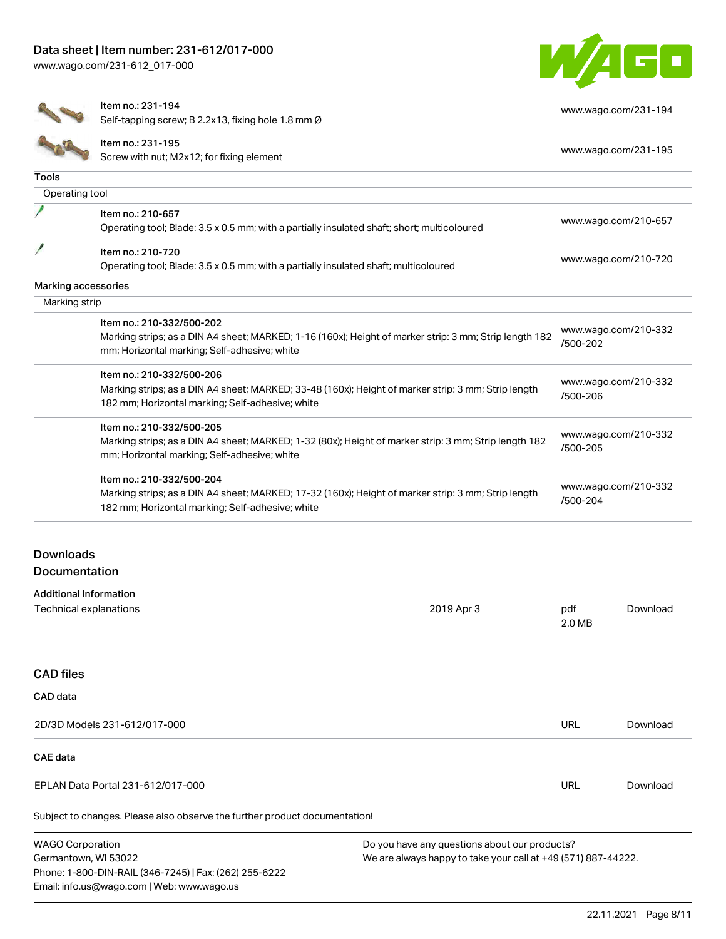[www.wago.com/231-612\\_017-000](http://www.wago.com/231-612_017-000)



[www.wago.com/231-194](http://www.wago.com/231-194)

Item no.: 231-194

Self-tapping screw; B 2.2x13, fixing hole 1.8 mm Ø

|                     | OCIT-tapping SCIEW, D 2.2XTO, hang note 1.0 min 0                                                      |                                  |  |
|---------------------|--------------------------------------------------------------------------------------------------------|----------------------------------|--|
|                     | Item no.: 231-195<br>Screw with nut; M2x12; for fixing element                                         | www.wago.com/231-195             |  |
| <b>Tools</b>        |                                                                                                        |                                  |  |
| Operating tool      |                                                                                                        |                                  |  |
|                     | Item no.: 210-657                                                                                      |                                  |  |
|                     | Operating tool; Blade: 3.5 x 0.5 mm; with a partially insulated shaft; short; multicoloured            | www.wago.com/210-657             |  |
|                     | Item no.: 210-720                                                                                      |                                  |  |
|                     | Operating tool; Blade: 3.5 x 0.5 mm; with a partially insulated shaft; multicoloured                   | www.wago.com/210-720             |  |
| Marking accessories |                                                                                                        |                                  |  |
| Marking strip       |                                                                                                        |                                  |  |
|                     | Item no.: 210-332/500-202                                                                              |                                  |  |
|                     | Marking strips; as a DIN A4 sheet; MARKED; 1-16 (160x); Height of marker strip: 3 mm; Strip length 182 | www.wago.com/210-332<br>/500-202 |  |
|                     | mm; Horizontal marking; Self-adhesive; white                                                           |                                  |  |
|                     | Item no.: 210-332/500-206                                                                              |                                  |  |
|                     | Marking strips; as a DIN A4 sheet; MARKED; 33-48 (160x); Height of marker strip: 3 mm; Strip length    | www.wago.com/210-332<br>/500-206 |  |
|                     | 182 mm; Horizontal marking; Self-adhesive; white                                                       |                                  |  |
|                     | Item no.: 210-332/500-205                                                                              |                                  |  |
|                     | Marking strips; as a DIN A4 sheet; MARKED; 1-32 (80x); Height of marker strip: 3 mm; Strip length 182  | www.wago.com/210-332<br>/500-205 |  |
|                     | mm; Horizontal marking; Self-adhesive; white                                                           |                                  |  |
|                     | Item no.: 210-332/500-204                                                                              |                                  |  |
|                     | Marking strips; as a DIN A4 sheet; MARKED; 17-32 (160x); Height of marker strip: 3 mm; Strip length    | www.wago.com/210-332<br>/500-204 |  |
|                     | 182 mm; Horizontal marking; Self-adhesive; white                                                       |                                  |  |
|                     |                                                                                                        |                                  |  |
|                     |                                                                                                        |                                  |  |

## Downloads Documentation

| <b>Additional Information</b> |            |               |          |
|-------------------------------|------------|---------------|----------|
| Technical explanations        | 2019 Apr 3 | pdf<br>2.0 MB | Download |
|                               |            |               |          |

#### CAD files

| CAD data                                                                |     |          |
|-------------------------------------------------------------------------|-----|----------|
| 2D/3D Models 231-612/017-000                                            | URL | Download |
| <b>CAE data</b>                                                         |     |          |
| EPLAN Data Portal 231-612/017-000                                       | URL | Download |
| Subject to changes Place also observe the further product decumentation |     |          |

Subject to changes. Please also observe the further product documentation!

WAGO Corporation Germantown, WI 53022 Phone: 1-800-DIN-RAIL (346-7245) | Fax: (262) 255-6222 Email: info.us@wago.com | Web: www.wago.us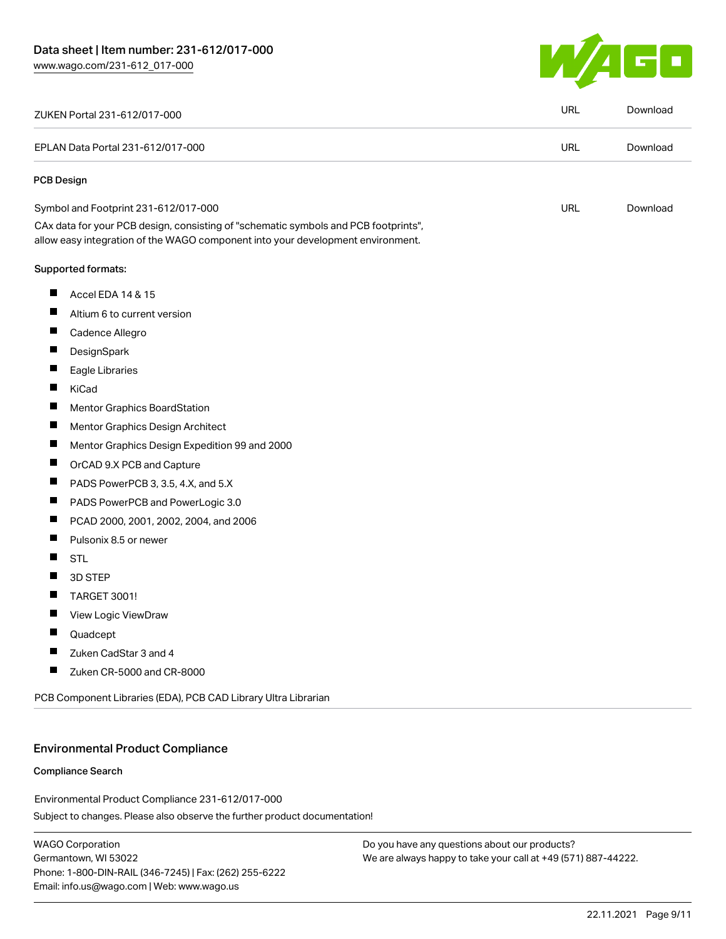

|                                   | ZUKEN Portal 231-612/017-000                                                                                                                                           | <b>URL</b> | Download |
|-----------------------------------|------------------------------------------------------------------------------------------------------------------------------------------------------------------------|------------|----------|
| EPLAN Data Portal 231-612/017-000 |                                                                                                                                                                        | <b>URL</b> | Download |
| <b>PCB Design</b>                 |                                                                                                                                                                        |            |          |
|                                   | Symbol and Footprint 231-612/017-000                                                                                                                                   | URL        | Download |
|                                   | CAx data for your PCB design, consisting of "schematic symbols and PCB footprints",<br>allow easy integration of the WAGO component into your development environment. |            |          |
|                                   | <b>Supported formats:</b>                                                                                                                                              |            |          |
| $\blacksquare$                    | Accel EDA 14 & 15                                                                                                                                                      |            |          |
| $\blacksquare$                    | Altium 6 to current version                                                                                                                                            |            |          |
| ш                                 | Cadence Allegro                                                                                                                                                        |            |          |
|                                   | DesignSpark                                                                                                                                                            |            |          |
| $\blacksquare$                    | Eagle Libraries                                                                                                                                                        |            |          |
| ш                                 | KiCad                                                                                                                                                                  |            |          |
|                                   | Mentor Graphics BoardStation                                                                                                                                           |            |          |
| Ц                                 | Mentor Graphics Design Architect                                                                                                                                       |            |          |
| ш                                 | Mentor Graphics Design Expedition 99 and 2000                                                                                                                          |            |          |
| ш                                 | OrCAD 9.X PCB and Capture                                                                                                                                              |            |          |
| ш                                 | PADS PowerPCB 3, 3.5, 4.X, and 5.X                                                                                                                                     |            |          |
| $\blacksquare$                    | PADS PowerPCB and PowerLogic 3.0                                                                                                                                       |            |          |
| Ш                                 | PCAD 2000, 2001, 2002, 2004, and 2006                                                                                                                                  |            |          |
| Ш                                 | Pulsonix 8.5 or newer                                                                                                                                                  |            |          |
| П                                 | <b>STL</b>                                                                                                                                                             |            |          |
|                                   | 3D STEP                                                                                                                                                                |            |          |
|                                   | <b>TARGET 3001!</b>                                                                                                                                                    |            |          |
|                                   | View Logic ViewDraw                                                                                                                                                    |            |          |
| Ш                                 | Quadcept                                                                                                                                                               |            |          |
|                                   | Zuken CadStar 3 and 4                                                                                                                                                  |            |          |
|                                   | Zuken CR-5000 and CR-8000                                                                                                                                              |            |          |

#### Environmental Product Compliance

#### Compliance Search

Subject to changes. Please also observe the further product documentation! Environmental Product Compliance 231-612/017-000

WAGO Corporation Germantown, WI 53022 Phone: 1-800-DIN-RAIL (346-7245) | Fax: (262) 255-6222 Email: info.us@wago.com | Web: www.wago.us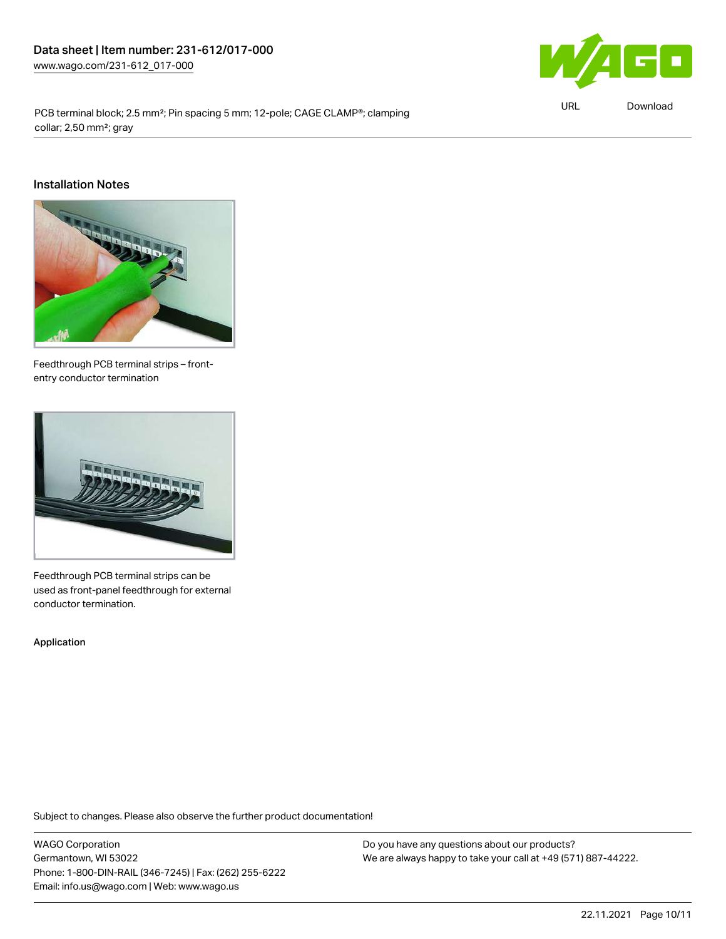

URL [Download](https://www.wago.com/global/d/ComplianceLinkMediaContainer_231-612_017-000)

PCB terminal block; 2.5 mm²; Pin spacing 5 mm; 12-pole; CAGE CLAMP®; clamping collar; 2,50 mm²; gray

#### Installation Notes



Feedthrough PCB terminal strips – frontentry conductor termination



Feedthrough PCB terminal strips can be used as front-panel feedthrough for external conductor termination.

Application

Subject to changes. Please also observe the further product documentation!

WAGO Corporation Germantown, WI 53022 Phone: 1-800-DIN-RAIL (346-7245) | Fax: (262) 255-6222 Email: info.us@wago.com | Web: www.wago.us